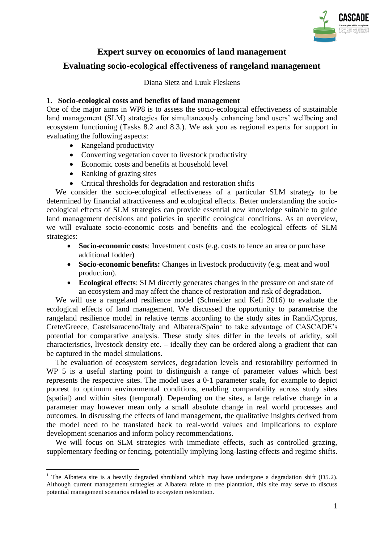

# **Expert survey on economics of land management**

# **Evaluating socio-ecological effectiveness of rangeland management**

Diana Sietz and Luuk Fleskens

### **1. Socio-ecological costs and benefits of land management**

One of the major aims in WP8 is to assess the socio-ecological effectiveness of sustainable land management (SLM) strategies for simultaneously enhancing land users' wellbeing and ecosystem functioning (Tasks 8.2 and 8.3.). We ask you as regional experts for support in evaluating the following aspects:

- Rangeland productivity
- Converting vegetation cover to livestock productivity
- Economic costs and benefits at household level
- Ranking of grazing sites

<u>.</u>

Critical thresholds for degradation and restoration shifts

We consider the socio-ecological effectiveness of a particular SLM strategy to be determined by financial attractiveness and ecological effects. Better understanding the socioecological effects of SLM strategies can provide essential new knowledge suitable to guide land management decisions and policies in specific ecological conditions. As an overview, we will evaluate socio-economic costs and benefits and the ecological effects of SLM strategies:

- **Socio-economic costs**: Investment costs (e.g. costs to fence an area or purchase additional fodder)
- **Socio-economic benefits:** Changes in livestock productivity (e.g. meat and wool production).
- **Ecological effects**: SLM directly generates changes in the pressure on and state of an ecosystem and may affect the chance of restoration and risk of degradation.

We will use a rangeland resilience model (Schneider and Kefi 2016) to evaluate the ecological effects of land management. We discussed the opportunity to parametrise the rangeland resilience model in relative terms according to the study sites in Randi/Cyprus, Crete/Greece, Castelsaraceno/Italy and Albatera/Spain<sup>1</sup> to take advantage of CASCADE's potential for comparative analysis. These study sites differ in the levels of aridity, soil characteristics, livestock density etc. – ideally they can be ordered along a gradient that can be captured in the model simulations.

The evaluation of ecosystem services, degradation levels and restorability performed in WP 5 is a useful starting point to distinguish a range of parameter values which best represents the respective sites. The model uses a 0-1 parameter scale, for example to depict poorest to optimum environmental conditions, enabling comparability across study sites (spatial) and within sites (temporal). Depending on the sites, a large relative change in a parameter may however mean only a small absolute change in real world processes and outcomes. In discussing the effects of land management, the qualitative insights derived from the model need to be translated back to real-world values and implications to explore development scenarios and inform policy recommendations.

We will focus on SLM strategies with immediate effects, such as controlled grazing, supplementary feeding or fencing, potentially implying long-lasting effects and regime shifts.

<sup>&</sup>lt;sup>1</sup> The Albatera site is a heavily degraded shrubland which may have undergone a degradation shift (D5.2). Although current management strategies at Albatera relate to tree plantation, this site may serve to discuss potential management scenarios related to ecosystem restoration.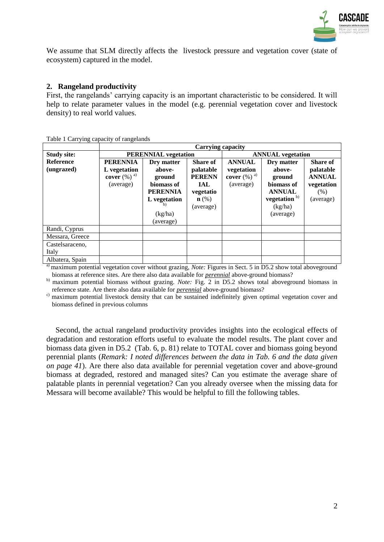

We assume that SLM directly affects the livestock pressure and vegetation cover (state of ecosystem) captured in the model.

## **2. Rangeland productivity**

First, the rangelands' carrying capacity is an important characteristic to be considered. It will help to relate parameter values in the model (e.g. perennial vegetation cover and livestock density) to real world values.

|                                |                                                                            |                                                                                                         | Carrying capacity                                                                                         |                                                                        |                                                                                                                   |                                                                                  |  |
|--------------------------------|----------------------------------------------------------------------------|---------------------------------------------------------------------------------------------------------|-----------------------------------------------------------------------------------------------------------|------------------------------------------------------------------------|-------------------------------------------------------------------------------------------------------------------|----------------------------------------------------------------------------------|--|
| <b>Study site:</b>             |                                                                            | <b>PERENNIAL</b> vegetation                                                                             |                                                                                                           |                                                                        | <b>ANNUAL</b> vegetation                                                                                          |                                                                                  |  |
| <b>Reference</b><br>(ungrazed) | <b>PERENNIA</b><br>L vegetation<br>cover $(\%)$ <sup>a)</sup><br>(average) | Dry matter<br>above-<br>ground<br>biomass of<br><b>PERENNIA</b><br>L vegetation<br>(kg/ha)<br>(average) | <b>Share of</b><br>palatable<br><b>PERENN</b><br><b>IAL</b><br>vegetatio<br>$\mathbf{n}(\%)$<br>(average) | <b>ANNUAL</b><br>vegetation<br>cover $(\%)$ <sup>a)</sup><br>(average) | Dry matter<br>above-<br>ground<br>biomass of<br><b>ANNUAL</b><br>vegetation <sup>b)</sup><br>(kg/ha)<br>(average) | <b>Share of</b><br>palatable<br><b>ANNUAL</b><br>vegetation<br>(% )<br>(average) |  |
| Randi, Cyprus                  |                                                                            |                                                                                                         |                                                                                                           |                                                                        |                                                                                                                   |                                                                                  |  |
| Messara, Greece                |                                                                            |                                                                                                         |                                                                                                           |                                                                        |                                                                                                                   |                                                                                  |  |
| Castelsaraceno,                |                                                                            |                                                                                                         |                                                                                                           |                                                                        |                                                                                                                   |                                                                                  |  |
| Italy                          |                                                                            |                                                                                                         |                                                                                                           |                                                                        |                                                                                                                   |                                                                                  |  |
| Albatera, Spain                |                                                                            |                                                                                                         |                                                                                                           |                                                                        |                                                                                                                   |                                                                                  |  |

Table 1 Carrying capacity of rangelands

<sup>a)</sup> maximum potential vegetation cover without grazing, *Note:* Figures in Sect. 5 in D5.2 show total aboveground biomass at reference sites. Are there also data available for *perennial* above-ground biomass?

b) maximum potential biomass without grazing. *Note:* Fig. 2 in D5.2 shows total aboveground biomass in reference state. Are there also data available for *perennial* above-ground biomass?

c) maximum potential livestock density that can be sustained indefinitely given optimal vegetation cover and biomass defined in previous columns

Second, the actual rangeland productivity provides insights into the ecological effects of degradation and restoration efforts useful to evaluate the model results. The plant cover and biomass data given in D5.2 (Tab. 6, p. 81) relate to TOTAL cover and biomass going beyond perennial plants (*Remark: I noted differences between the data in Tab. 6 and the data given on page 41*). Are there also data available for perennial vegetation cover and above-ground biomass at degraded, restored and managed sites? Can you estimate the average share of palatable plants in perennial vegetation? Can you already oversee when the missing data for Messara will become available? This would be helpful to fill the following tables.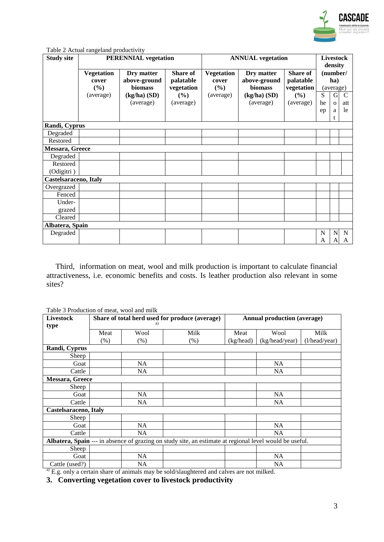

|  | Table 2 Actual rangeland productivity |
|--|---------------------------------------|
|  |                                       |

| <b>Study site</b>     |                                                | <b>PERENNIAL</b> vegetation                                          |                                                                |                                                | <b>ANNUAL</b> vegetation                                             |                                                                |         |                                                         |                      |  | density | <b>Livestock</b> |
|-----------------------|------------------------------------------------|----------------------------------------------------------------------|----------------------------------------------------------------|------------------------------------------------|----------------------------------------------------------------------|----------------------------------------------------------------|---------|---------------------------------------------------------|----------------------|--|---------|------------------|
|                       | <b>Vegetation</b><br>cover<br>(%)<br>(average) | Dry matter<br>above-ground<br>biomass<br>$(kg/ha)$ (SD)<br>(average) | <b>Share of</b><br>palatable<br>vegetation<br>(%)<br>(average) | <b>Vegetation</b><br>cover<br>(%)<br>(average) | Dry matter<br>above-ground<br>biomass<br>$(kg/ha)$ (SD)<br>(average) | <b>Share of</b><br>palatable<br>vegetation<br>(%)<br>(average) | S<br>he | (number/<br>ha)<br>(average)<br>$\mathbf G$<br>$\Omega$ | $\mathcal{C}$<br>att |  |         |                  |
|                       |                                                |                                                                      |                                                                |                                                |                                                                      |                                                                | ep      | a<br>t.                                                 | le                   |  |         |                  |
| Randi, Cyprus         |                                                |                                                                      |                                                                |                                                |                                                                      |                                                                |         |                                                         |                      |  |         |                  |
| Degraded              |                                                |                                                                      |                                                                |                                                |                                                                      |                                                                |         |                                                         |                      |  |         |                  |
| Restored              |                                                |                                                                      |                                                                |                                                |                                                                      |                                                                |         |                                                         |                      |  |         |                  |
| Messara, Greece       |                                                |                                                                      |                                                                |                                                |                                                                      |                                                                |         |                                                         |                      |  |         |                  |
| Degraded              |                                                |                                                                      |                                                                |                                                |                                                                      |                                                                |         |                                                         |                      |  |         |                  |
| Restored              |                                                |                                                                      |                                                                |                                                |                                                                      |                                                                |         |                                                         |                      |  |         |                  |
| (Odigitri)            |                                                |                                                                      |                                                                |                                                |                                                                      |                                                                |         |                                                         |                      |  |         |                  |
| Castelsaraceno, Italy |                                                |                                                                      |                                                                |                                                |                                                                      |                                                                |         |                                                         |                      |  |         |                  |
| Overgrazed            |                                                |                                                                      |                                                                |                                                |                                                                      |                                                                |         |                                                         |                      |  |         |                  |
| Fenced                |                                                |                                                                      |                                                                |                                                |                                                                      |                                                                |         |                                                         |                      |  |         |                  |
| Under-                |                                                |                                                                      |                                                                |                                                |                                                                      |                                                                |         |                                                         |                      |  |         |                  |
| grazed                |                                                |                                                                      |                                                                |                                                |                                                                      |                                                                |         |                                                         |                      |  |         |                  |
| Cleared               |                                                |                                                                      |                                                                |                                                |                                                                      |                                                                |         |                                                         |                      |  |         |                  |
| Albatera, Spain       |                                                |                                                                      |                                                                |                                                |                                                                      |                                                                |         |                                                         |                      |  |         |                  |
| Degraded              |                                                |                                                                      |                                                                |                                                |                                                                      |                                                                | N<br>A  | $\mathbf N$<br>A                                        | N<br>A               |  |         |                  |

Third, information on meat, wool and milk production is important to calculate financial attractiveness, i.e. economic benefits and costs. Is leather production also relevant in some sites?

Table 3 Production of meat, wool and milk

| <b>Livestock</b>             |      |      | Share of total herd used for produce (average)                                                          | <b>Annual production (average)</b> |                |               |  |
|------------------------------|------|------|---------------------------------------------------------------------------------------------------------|------------------------------------|----------------|---------------|--|
| type                         |      |      |                                                                                                         |                                    |                |               |  |
|                              | Meat | Wool | Milk                                                                                                    | Meat                               | Wool           | Milk          |  |
|                              | (% ) | (% ) | (% )                                                                                                    | (kg/head)                          | (kg/head/year) | (l/head/year) |  |
| Randi, Cyprus                |      |      |                                                                                                         |                                    |                |               |  |
| Sheep                        |      |      |                                                                                                         |                                    |                |               |  |
| Goat                         |      | NA.  |                                                                                                         |                                    | <b>NA</b>      |               |  |
| Cattle                       |      | NA.  |                                                                                                         |                                    | NA             |               |  |
| Messara, Greece              |      |      |                                                                                                         |                                    |                |               |  |
| Sheep                        |      |      |                                                                                                         |                                    |                |               |  |
| Goat                         |      | NA   |                                                                                                         |                                    | <b>NA</b>      |               |  |
| Cattle                       |      | NA.  |                                                                                                         |                                    | <b>NA</b>      |               |  |
| <b>Castelsaraceno, Italy</b> |      |      |                                                                                                         |                                    |                |               |  |
| Sheep                        |      |      |                                                                                                         |                                    |                |               |  |
| Goat                         |      | NA   |                                                                                                         |                                    | <b>NA</b>      |               |  |
| Cattle                       |      | NA   |                                                                                                         |                                    | <b>NA</b>      |               |  |
|                              |      |      | Albatera, Spain --- in absence of grazing on study site, an estimate at regional level would be useful. |                                    |                |               |  |
| Sheep                        |      |      |                                                                                                         |                                    |                |               |  |
| Goat                         |      | NA   |                                                                                                         |                                    | <b>NA</b>      |               |  |
| Cattle (used?)               |      | NA.  |                                                                                                         |                                    | <b>NA</b>      |               |  |

a) E.g. only a certain share of animals may be sold/slaughtered and calves are not milked.

**3. Converting vegetation cover to livestock productivity**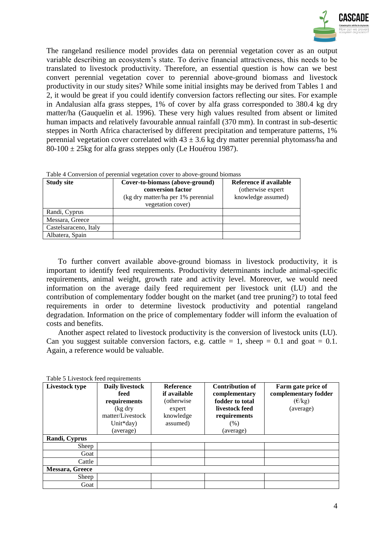

The rangeland resilience model provides data on perennial vegetation cover as an output variable describing an ecosystem's state. To derive financial attractiveness, this needs to be translated to livestock productivity. Therefore, an essential question is how can we best convert perennial vegetation cover to perennial above-ground biomass and livestock productivity in our study sites? While some initial insights may be derived from Tables 1 and 2, it would be great if you could identify conversion factors reflecting our sites. For example in Andalusian alfa grass steppes, 1% of cover by alfa grass corresponded to 380.4 kg dry matter/ha (Gauquelin et al. 1996). These very high values resulted from absent or limited human impacts and relatively favourable annual rainfall (370 mm). In contrast in sub-desertic steppes in North Africa characterised by different precipitation and temperature patterns, 1% perennial vegetation cover correlated with  $43 \pm 3.6$  kg dry matter perennial phytomass/ha and  $80-100 \pm 25$ kg for alfa grass steppes only (Le Houérou 1987).

| Table 4 Conversion of perennial vegetation cover to above-ground biomass |  |  |
|--------------------------------------------------------------------------|--|--|
|                                                                          |  |  |

| <b>Study site</b>     | Cover-to-biomass (above-ground)<br>conversion factor<br>(kg dry matter/ha per 1% perennial)<br>vegetation cover) | Reference if available<br>(otherwise expert<br>knowledge assumed) |
|-----------------------|------------------------------------------------------------------------------------------------------------------|-------------------------------------------------------------------|
| Randi, Cyprus         |                                                                                                                  |                                                                   |
| Messara, Greece       |                                                                                                                  |                                                                   |
| Castelsaraceno, Italy |                                                                                                                  |                                                                   |
| Albatera, Spain       |                                                                                                                  |                                                                   |

To further convert available above-ground biomass in livestock productivity, it is important to identify feed requirements. Productivity determinants include animal-specific requirements, animal weight, growth rate and activity level. Moreover, we would need information on the average daily feed requirement per livestock unit (LU) and the contribution of complementary fodder bought on the market (and tree pruning?) to total feed requirements in order to determine livestock productivity and potential rangeland degradation. Information on the price of complementary fodder will inform the evaluation of costs and benefits.

Another aspect related to livestock productivity is the conversion of livestock units (LU). Can you suggest suitable conversion factors, e.g. cattle  $= 1$ , sheep  $= 0.1$  and goat  $= 0.1$ . Again, a reference would be valuable.

| Livestock type  | <b>Daily livestock</b><br>feed<br>requirements<br>(kg dry<br>matter/Livestock<br>Unit $d$ ay)<br>(average) | <b>Reference</b><br>if available<br>(otherwise)<br>expert<br>knowledge<br>assumed) | <b>Contribution of</b><br>complementary<br>fodder to total<br>livestock feed<br>requirements<br>(% )<br>(average) | Farm gate price of<br>complementary fodder<br>$(\epsilon/kg)$<br>(average) |
|-----------------|------------------------------------------------------------------------------------------------------------|------------------------------------------------------------------------------------|-------------------------------------------------------------------------------------------------------------------|----------------------------------------------------------------------------|
| Randi, Cyprus   |                                                                                                            |                                                                                    |                                                                                                                   |                                                                            |
| Sheep           |                                                                                                            |                                                                                    |                                                                                                                   |                                                                            |
| Goat            |                                                                                                            |                                                                                    |                                                                                                                   |                                                                            |
| Cattle          |                                                                                                            |                                                                                    |                                                                                                                   |                                                                            |
| Messara, Greece |                                                                                                            |                                                                                    |                                                                                                                   |                                                                            |
| Sheep           |                                                                                                            |                                                                                    |                                                                                                                   |                                                                            |
| Goat            |                                                                                                            |                                                                                    |                                                                                                                   |                                                                            |

Table 5 Livestock feed requirements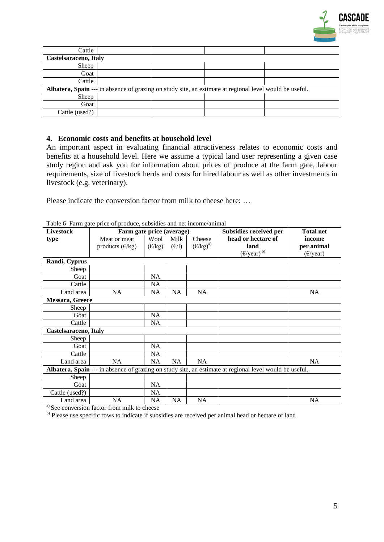

| Cattle                |  |  |                                                                                                         |  |  |  |  |  |  |
|-----------------------|--|--|---------------------------------------------------------------------------------------------------------|--|--|--|--|--|--|
| Castelsaraceno, Italy |  |  |                                                                                                         |  |  |  |  |  |  |
| Sheep                 |  |  |                                                                                                         |  |  |  |  |  |  |
| Goat                  |  |  |                                                                                                         |  |  |  |  |  |  |
| Cattle                |  |  |                                                                                                         |  |  |  |  |  |  |
|                       |  |  | Albatera, Spain --- in absence of grazing on study site, an estimate at regional level would be useful. |  |  |  |  |  |  |
| Sheep                 |  |  |                                                                                                         |  |  |  |  |  |  |
| Goat                  |  |  |                                                                                                         |  |  |  |  |  |  |
| Cattle (used?)        |  |  |                                                                                                         |  |  |  |  |  |  |

## **4. Economic costs and benefits at household level**

An important aspect in evaluating financial attractiveness relates to economic costs and benefits at a household level. Here we assume a typical land user representing a given case study region and ask you for information about prices of produce at the farm gate, labour requirements, size of livestock herds and costs for hired labour as well as other investments in livestock (e.g. veterinary).

Please indicate the conversion factor from milk to cheese here: ...

| <b>Livestock</b>      |                          | Farm gate price (average) |       | Subsidies received per | <b>Total net</b>                                                                                        |                    |
|-----------------------|--------------------------|---------------------------|-------|------------------------|---------------------------------------------------------------------------------------------------------|--------------------|
| type                  | Meat or meat             | Wool                      | Milk  | Cheese                 | head or hectare of                                                                                      | income             |
|                       | products $(\epsilon/kg)$ | $(\epsilon/kg)$           | (E/I) | $(E/kg)^{a}$           | land                                                                                                    | per animal         |
|                       |                          |                           |       |                        | $(E/\text{year})^{b}$                                                                                   | $(\epsilon$ /year) |
| Randi, Cyprus         |                          |                           |       |                        |                                                                                                         |                    |
| Sheep                 |                          |                           |       |                        |                                                                                                         |                    |
| Goat                  |                          | <b>NA</b>                 |       |                        |                                                                                                         |                    |
| Cattle                |                          | <b>NA</b>                 |       |                        |                                                                                                         |                    |
| Land area             | <b>NA</b>                | <b>NA</b>                 | NA    | <b>NA</b>              |                                                                                                         | NA                 |
| Messara, Greece       |                          |                           |       |                        |                                                                                                         |                    |
| Sheep                 |                          |                           |       |                        |                                                                                                         |                    |
| Goat                  |                          | <b>NA</b>                 |       |                        |                                                                                                         |                    |
| Cattle                |                          | NA                        |       |                        |                                                                                                         |                    |
| Castelsaraceno, Italy |                          |                           |       |                        |                                                                                                         |                    |
| Sheep                 |                          |                           |       |                        |                                                                                                         |                    |
| Goat                  |                          | <b>NA</b>                 |       |                        |                                                                                                         |                    |
| Cattle                |                          | <b>NA</b>                 |       |                        |                                                                                                         |                    |
| Land area             | NA                       | <b>NA</b>                 | NA    | <b>NA</b>              |                                                                                                         | <b>NA</b>          |
|                       |                          |                           |       |                        | Albatera, Spain --- in absence of grazing on study site, an estimate at regional level would be useful. |                    |
| Sheep                 |                          |                           |       |                        |                                                                                                         |                    |
| Goat                  |                          | <b>NA</b>                 |       |                        |                                                                                                         |                    |
| Cattle (used?)        |                          | <b>NA</b>                 |       |                        |                                                                                                         |                    |
| Land area             | <b>NA</b>                | NA.                       | NA    | NA                     |                                                                                                         | NA                 |

Table 6 Farm gate price of produce, subsidies and net income/animal

<sup>a)</sup> See conversion factor from milk to cheese

b) Please use specific rows to indicate if subsidies are received per animal head or hectare of land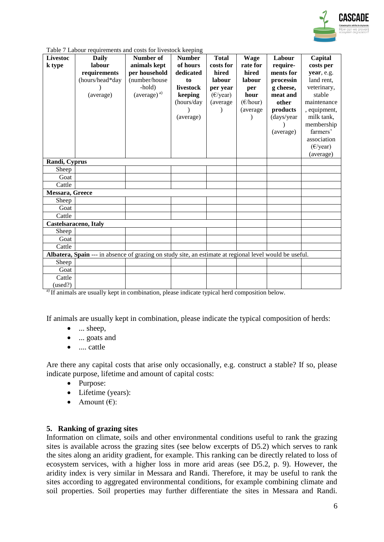

| Table 7 Labour requirements and costs for livestock keeping |  |  |
|-------------------------------------------------------------|--|--|
|                                                             |  |  |

| <b>Livestoc</b> | Daily                                                                                                   | Number of               | <b>Number</b> | <b>Total</b>       | <b>Wage</b>        | Labour     | Capital            |
|-----------------|---------------------------------------------------------------------------------------------------------|-------------------------|---------------|--------------------|--------------------|------------|--------------------|
| k type          | labour                                                                                                  | animals kept            | of hours      | costs for          | rate for           | require-   | costs per          |
|                 | requirements                                                                                            | per household           | dedicated     | hired              | hired              | ments for  | year, e.g.         |
|                 | (hours/head*day                                                                                         | (number/house           | to            | labour             | labour             | processin  | land rent,         |
|                 |                                                                                                         | -hold)                  | livestock     | per year           | per                | g cheese,  | veterinary,        |
|                 | (average)                                                                                               | (average) <sup>a)</sup> | keeping       | $(\epsilon$ /year) | hour               | meat and   | stable             |
|                 |                                                                                                         |                         | (hours/day    | (average           | $(\epsilon$ /hour) | other      | maintenance        |
|                 |                                                                                                         |                         |               |                    | (average           | products   | , equipment,       |
|                 |                                                                                                         |                         | (average)     |                    |                    | (days/year | milk tank,         |
|                 |                                                                                                         |                         |               |                    |                    |            | membership         |
|                 |                                                                                                         |                         |               |                    |                    | (average)  | farmers'           |
|                 |                                                                                                         |                         |               |                    |                    |            | association        |
|                 |                                                                                                         |                         |               |                    |                    |            | $(\epsilon$ /year) |
|                 |                                                                                                         |                         |               |                    |                    |            | (average)          |
| Randi, Cyprus   |                                                                                                         |                         |               |                    |                    |            |                    |
| Sheep           |                                                                                                         |                         |               |                    |                    |            |                    |
| Goat            |                                                                                                         |                         |               |                    |                    |            |                    |
| Cattle          |                                                                                                         |                         |               |                    |                    |            |                    |
| Messara, Greece |                                                                                                         |                         |               |                    |                    |            |                    |
| Sheep           |                                                                                                         |                         |               |                    |                    |            |                    |
| Goat            |                                                                                                         |                         |               |                    |                    |            |                    |
| Cattle          |                                                                                                         |                         |               |                    |                    |            |                    |
|                 | <b>Castelsaraceno, Italy</b>                                                                            |                         |               |                    |                    |            |                    |
| Sheep           |                                                                                                         |                         |               |                    |                    |            |                    |
| Goat            |                                                                                                         |                         |               |                    |                    |            |                    |
| Cattle          |                                                                                                         |                         |               |                    |                    |            |                    |
|                 | Albatera, Spain --- in absence of grazing on study site, an estimate at regional level would be useful. |                         |               |                    |                    |            |                    |
| Sheep           |                                                                                                         |                         |               |                    |                    |            |                    |
| Goat            |                                                                                                         |                         |               |                    |                    |            |                    |
| Cattle          |                                                                                                         |                         |               |                    |                    |            |                    |
| (used?)         |                                                                                                         |                         |               |                    |                    |            |                    |

<sup>a)</sup> If animals are usually kept in combination, please indicate typical herd composition below.

If animals are usually kept in combination, please indicate the typical composition of herds:

- ... sheep,
- ... goats and
- .... cattle

Are there any capital costs that arise only occasionally, e.g. construct a stable? If so, please indicate purpose, lifetime and amount of capital costs:

- Purpose:
- Lifetime (years):
- Amount  $(\epsilon)$ :

#### **5. Ranking of grazing sites**

Information on climate, soils and other environmental conditions useful to rank the grazing sites is available across the grazing sites (see below excerpts of D5.2) which serves to rank the sites along an aridity gradient, for example. This ranking can be directly related to loss of ecosystem services, with a higher loss in more arid areas (see D5.2, p. 9). However, the aridity index is very similar in Messara and Randi. Therefore, it may be useful to rank the sites according to aggregated environmental conditions, for example combining climate and soil properties. Soil properties may further differentiate the sites in Messara and Randi.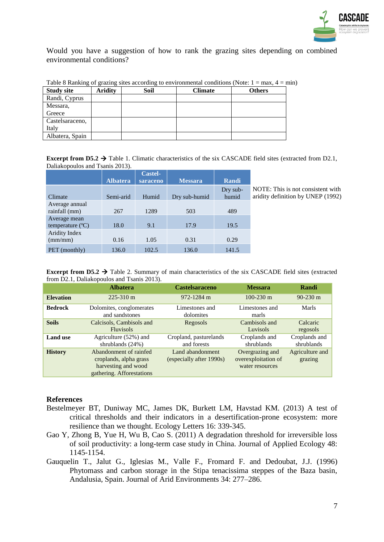

Would you have a suggestion of how to rank the grazing sites depending on combined environmental conditions?

| <b>Study site</b> | <b>Aridity</b> | Soil | <b>Climate</b> | <b>Others</b> |
|-------------------|----------------|------|----------------|---------------|
| Randi, Cyprus     |                |      |                |               |
| Messara,          |                |      |                |               |
| Greece            |                |      |                |               |
| Castelsaraceno,   |                |      |                |               |
| Italy             |                |      |                |               |
| Albatera, Spain   |                |      |                |               |

|  |  | Table 8 Ranking of grazing sites according to environmental conditions (Note: $1 = max$ , $4 = min$ ) |  |
|--|--|-------------------------------------------------------------------------------------------------------|--|
|  |  |                                                                                                       |  |

**Excerpt from**  $DS.2 \rightarrow$  **Table 1. Climatic characteristics of the six CASCADE field sites (extracted from D2.1,** Daliakopoulos and Tsanis 2013).

|                                           |                 | <b>Castel-</b> |                |                   |                     |
|-------------------------------------------|-----------------|----------------|----------------|-------------------|---------------------|
|                                           | <b>Albatera</b> | saraceno       | <b>Messara</b> | Randi             |                     |
| Climate                                   | Semi-arid       | Humid          | Dry sub-humid  | Dry sub-<br>humid | N<br>a <sub>1</sub> |
| Average annual<br>rainfall (mm)           | 267             | 1289           | 503            | 489               |                     |
| Average mean<br>temperature $(^{\circ}C)$ | 18.0            | 9.1            | 17.9           | 19.5              |                     |
| Aridity Index<br>(mm/mm)                  | 0.16            | 1.05           | 0.31           | 0.29              |                     |
| PET (monthly)                             | 136.0           | 102.5          | 136.0          | 141.5             |                     |

NOTE: This is not consistent with ridity definition by UNEP (1992)

**Excerpt from**  $DS.2 \rightarrow$  **Table 2. Summary of main characteristics of the six CASCADE field sites (extracted)** from D2.1, Daliakopoulos and Tsanis 2013).

|                  | <b>Albatera</b>                                                                                      | <b>Castelsaraceno</b>                        | <b>Messara</b>                                            | Randi                       |
|------------------|------------------------------------------------------------------------------------------------------|----------------------------------------------|-----------------------------------------------------------|-----------------------------|
| <b>Elevation</b> | $225 - 310$ m                                                                                        | 972-1284 m                                   | $100 - 230$ m                                             | $90-230$ m                  |
| <b>Bedrock</b>   | Dolomites, conglomerates<br>and sandstones                                                           | Limestones and<br>dolomites                  | Limestones and<br>marls                                   | Marls                       |
| <b>Soils</b>     | Calcisols, Cambisols and<br><b>Fluvisols</b>                                                         | Regosols                                     | Cambisols and<br>Luvisols                                 | Calcaric<br>regosols        |
| <b>Land use</b>  | Agriculture (52%) and<br>shrublands $(24%)$                                                          | Cropland, pasturelands<br>and forests        | Croplands and<br>shrublands                               | Croplands and<br>shrublands |
| <b>History</b>   | Abandonment of rainfed<br>croplands, alpha grass<br>harvesting and wood<br>gathering. Afforestations | Land abandonment<br>(especially after 1990s) | Overgrazing and<br>overexploitation of<br>water resources | Agriculture and<br>grazing  |

#### **References**

- Bestelmeyer BT, Duniway MC, James DK, Burkett LM, Havstad KM. (2013) A test of critical thresholds and their indicators in a desertification-prone ecosystem: more resilience than we thought. Ecology Letters 16: 339-345.
- Gao Y, Zhong B, Yue H, Wu B, Cao S. (2011) A degradation threshold for irreversible loss of soil productivity: a long-term case study in China. Journal of Applied Ecology 48: 1145-1154.
- Gauquelin T., Jalut G., Iglesias M., Valle F., Fromard F. and Dedoubat, J.J. (1996) Phytomass and carbon storage in the Stipa tenacissima steppes of the Baza basin, Andalusia, Spain. Journal of Arid Environments 34: 277–286.